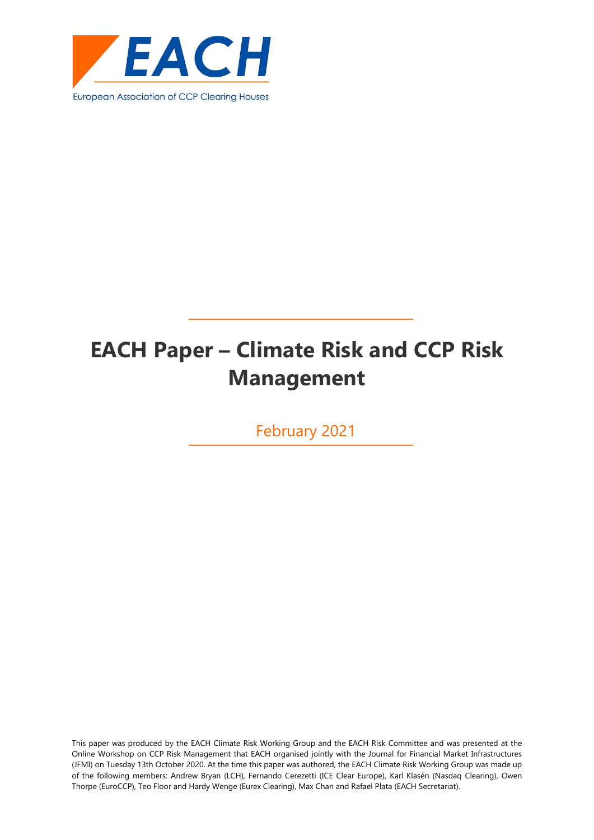

# **EACH Paper – Climate Risk and CCP Risk Management**

February 2021

This paper was produced by the EACH Climate Risk Working Group and the EACH Risk Committee and was presented at the Online Workshop on CCP Risk Management that EACH organised jointly with the Journal for Financial Market Infrastructures (JFMI) on Tuesday 13th October 2020. At the time this paper was authored, the EACH Climate Risk Working Group was made up of the following members: Andrew Bryan (LCH), Fernando Cerezetti (ICE Clear Europe), Karl Klasén (Nasdaq Clearing), Owen Thorpe (EuroCCP), Teo Floor and Hardy Wenge (Eurex Clearing), Max Chan and Rafael Plata (EACH Secretariat).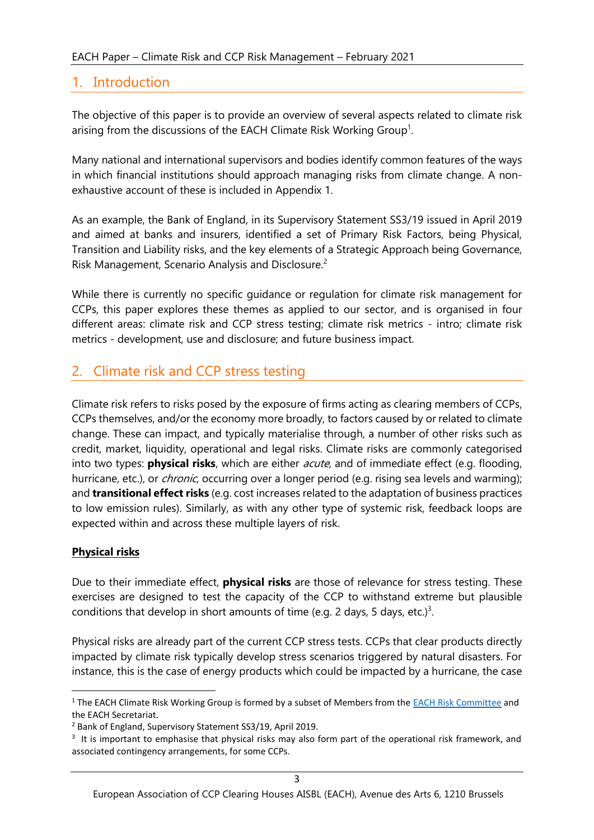#### <span id="page-2-0"></span>1. Introduction

The objective of this paper is to provide an overview of several aspects related to climate risk arising from the discussions of the EACH Climate Risk Working Group<sup>1</sup>.

Many national and international supervisors and bodies identify common features of the ways in which financial institutions should approach managing risks from climate change. A nonexhaustive account of these is included in Appendix 1.

As an example, the Bank of England, in its Supervisory Statement SS3/19 issued in April 2019 and aimed at banks and insurers, identified a set of Primary Risk Factors, being Physical, Transition and Liability risks, and the key elements of a Strategic Approach being Governance, Risk Management, Scenario Analysis and Disclosure.<sup>2</sup>

While there is currently no specific guidance or regulation for climate risk management for CCPs, this paper explores these themes as applied to our sector, and is organised in four different areas: climate risk and CCP stress testing; climate risk metrics - intro; climate risk metrics - development, use and disclosure; and future business impact.

#### <span id="page-2-1"></span>2. Climate risk and CCP stress testing

Climate risk refers to risks posed by the exposure of firms acting as clearing members of CCPs, CCPs themselves, and/or the economy more broadly, to factors caused by or related to climate change. These can impact, and typically materialise through, a number of other risks such as credit, market, liquidity, operational and legal risks. Climate risks are commonly categorised into two types: **physical risks**, which are either acute, and of immediate effect (e.g. flooding, hurricane, etc.), or *chronic*, occurring over a longer period (e.g. rising sea levels and warming); and **transitional effect risks** (e.g. cost increases related to the adaptation of business practices to low emission rules). Similarly, as with any other type of systemic risk, feedback loops are expected within and across these multiple layers of risk.

#### **Physical risks**

Due to their immediate effect, **physical risks** are those of relevance for stress testing. These exercises are designed to test the capacity of the CCP to withstand extreme but plausible conditions that develop in short amounts of time (e.g. 2 days, 5 days, etc.)<sup>3</sup>.

Physical risks are already part of the current CCP stress tests. CCPs that clear products directly impacted by climate risk typically develop stress scenarios triggered by natural disasters. For instance, this is the case of energy products which could be impacted by a hurricane, the case

<sup>&</sup>lt;sup>1</sup> The EACH Climate Risk Working Group is formed by a subset of Members from the [EACH Risk Committee](https://www.eachccp.eu/risk-cttee/) and the EACH Secretariat.

<sup>2</sup> Bank of England, Supervisory Statement SS3/19, April 2019.

<sup>&</sup>lt;sup>3</sup> It is important to emphasise that physical risks may also form part of the operational risk framework, and associated contingency arrangements, for some CCPs.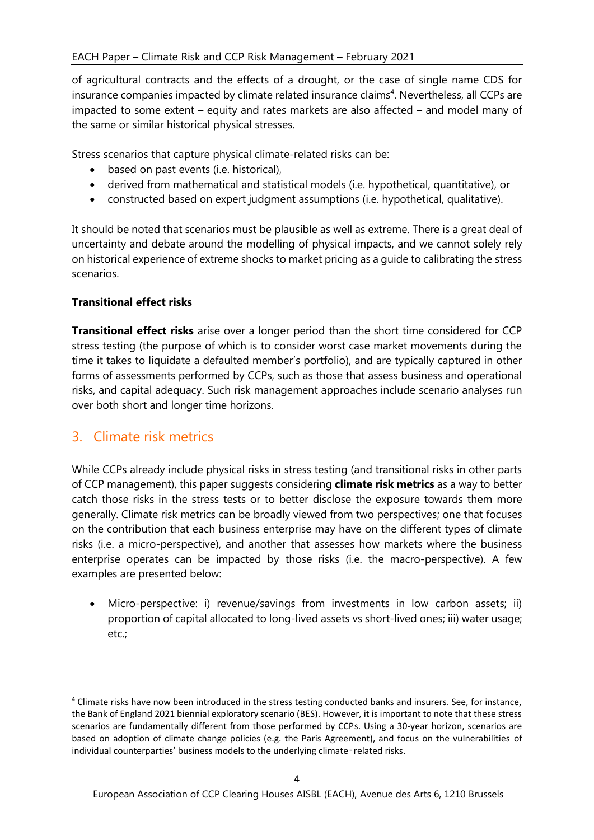of agricultural contracts and the effects of a drought, or the case of single name CDS for insurance companies impacted by climate related insurance claims<sup>4</sup>. Nevertheless, all CCPs are impacted to some extent – equity and rates markets are also affected – and model many of the same or similar historical physical stresses.

Stress scenarios that capture physical climate-related risks can be:

- based on past events (i.e. historical),
- derived from mathematical and statistical models (i.e. hypothetical, quantitative), or
- constructed based on expert judgment assumptions (i.e. hypothetical, qualitative).

It should be noted that scenarios must be plausible as well as extreme. There is a great deal of uncertainty and debate around the modelling of physical impacts, and we cannot solely rely on historical experience of extreme shocks to market pricing as a guide to calibrating the stress scenarios.

#### **Transitional effect risks**

**Transitional effect risks** arise over a longer period than the short time considered for CCP stress testing (the purpose of which is to consider worst case market movements during the time it takes to liquidate a defaulted member's portfolio), and are typically captured in other forms of assessments performed by CCPs, such as those that assess business and operational risks, and capital adequacy. Such risk management approaches include scenario analyses run over both short and longer time horizons.

#### <span id="page-3-0"></span>3. Climate risk metrics

While CCPs already include physical risks in stress testing (and transitional risks in other parts of CCP management), this paper suggests considering **climate risk metrics** as a way to better catch those risks in the stress tests or to better disclose the exposure towards them more generally. Climate risk metrics can be broadly viewed from two perspectives; one that focuses on the contribution that each business enterprise may have on the different types of climate risks (i.e. a micro-perspective), and another that assesses how markets where the business enterprise operates can be impacted by those risks (i.e. the macro-perspective). A few examples are presented below:

Micro-perspective: i) revenue/savings from investments in low carbon assets; ii) proportion of capital allocated to long-lived assets vs short-lived ones; iii) water usage; etc.;

<sup>4</sup> Climate risks have now been introduced in the stress testing conducted banks and insurers. See, for instance, the Bank of England 2021 biennial exploratory scenario (BES). However, it is important to note that these stress scenarios are fundamentally different from those performed by CCPs. Using a 30-year horizon, scenarios are based on adoption of climate change policies (e.g. the Paris Agreement), and focus on the vulnerabilities of individual counterparties' business models to the underlying climate‑related risks.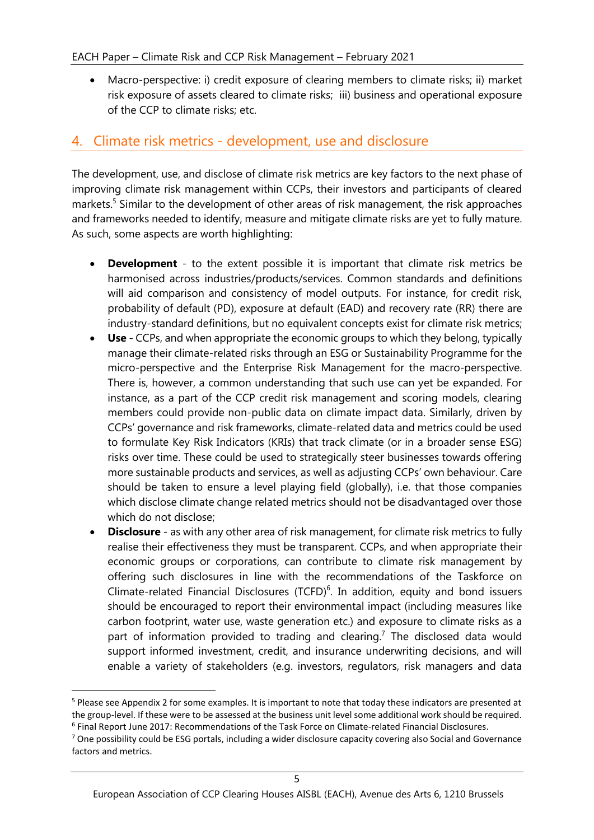• Macro-perspective: i) credit exposure of clearing members to climate risks; ii) market risk exposure of assets cleared to climate risks; iii) business and operational exposure of the CCP to climate risks; etc.

### <span id="page-4-0"></span>4. Climate risk metrics - development, use and disclosure

The development, use, and disclose of climate risk metrics are key factors to the next phase of improving climate risk management within CCPs, their investors and participants of cleared markets.<sup>5</sup> Similar to the development of other areas of risk management, the risk approaches and frameworks needed to identify, measure and mitigate climate risks are yet to fully mature. As such, some aspects are worth highlighting:

- **Development** to the extent possible it is important that climate risk metrics be harmonised across industries/products/services. Common standards and definitions will aid comparison and consistency of model outputs. For instance, for credit risk, probability of default (PD), exposure at default (EAD) and recovery rate (RR) there are industry-standard definitions, but no equivalent concepts exist for climate risk metrics;
- **Use** CCPs, and when appropriate the economic groups to which they belong, typically manage their climate-related risks through an ESG or Sustainability Programme for the micro-perspective and the Enterprise Risk Management for the macro-perspective. There is, however, a common understanding that such use can yet be expanded. For instance, as a part of the CCP credit risk management and scoring models, clearing members could provide non-public data on climate impact data. Similarly, driven by CCPs' governance and risk frameworks, climate-related data and metrics could be used to formulate Key Risk Indicators (KRIs) that track climate (or in a broader sense ESG) risks over time. These could be used to strategically steer businesses towards offering more sustainable products and services, as well as adjusting CCPs' own behaviour. Care should be taken to ensure a level playing field (globally), i.e. that those companies which disclose climate change related metrics should not be disadvantaged over those which do not disclose;
- **Disclosure** as with any other area of risk management, for climate risk metrics to fully realise their effectiveness they must be transparent. CCPs, and when appropriate their economic groups or corporations, can contribute to climate risk management by offering such disclosures in line with the recommendations of the Taskforce on Climate-related Financial Disclosures (TCFD) $<sup>6</sup>$ . In addition, equity and bond issuers</sup> should be encouraged to report their environmental impact (including measures like carbon footprint, water use, waste generation etc.) and exposure to climate risks as a part of information provided to trading and clearing.<sup>7</sup> The disclosed data would support informed investment, credit, and insurance underwriting decisions, and will enable a variety of stakeholders (e.g. investors, regulators, risk managers and data

<sup>5</sup> Please see Appendix 2 for some examples. It is important to note that today these indicators are presented at the group-level. If these were to be assessed at the business unit level some additional work should be required. 6 Final Report June 2017: Recommendations of the Task Force on Climate-related Financial Disclosures.

 $7$  One possibility could be ESG portals, including a wider disclosure capacity covering also Social and Governance factors and metrics.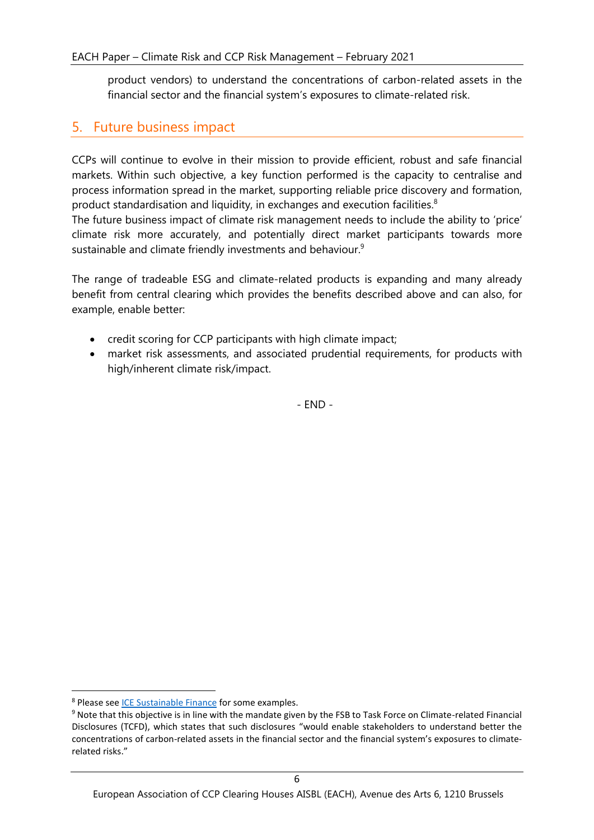product vendors) to understand the concentrations of carbon-related assets in the financial sector and the financial system's exposures to climate-related risk.

### <span id="page-5-0"></span>5. Future business impact

CCPs will continue to evolve in their mission to provide efficient, robust and safe financial markets. Within such objective, a key function performed is the capacity to centralise and process information spread in the market, supporting reliable price discovery and formation, product standardisation and liquidity, in exchanges and execution facilities. $8$ 

The future business impact of climate risk management needs to include the ability to 'price' climate risk more accurately, and potentially direct market participants towards more sustainable and climate friendly investments and behaviour.<sup>9</sup>

The range of tradeable ESG and climate-related products is expanding and many already benefit from central clearing which provides the benefits described above and can also, for example, enable better:

- credit scoring for CCP participants with high climate impact;
- market risk assessments, and associated prudential requirements, for products with high/inherent climate risk/impact.

- END -

<sup>8</sup> Please see [ICE Sustainable Finance](https://www.intercontinentalexchange.com/about/corporate-responsibility/sustainable-finance) for some examples.

<sup>&</sup>lt;sup>9</sup> Note that this objective is in line with the mandate given by the FSB to Task Force on Climate-related Financial Disclosures (TCFD), which states that such disclosures "would enable stakeholders to understand better the concentrations of carbon-related assets in the financial sector and the financial system's exposures to climaterelated risks."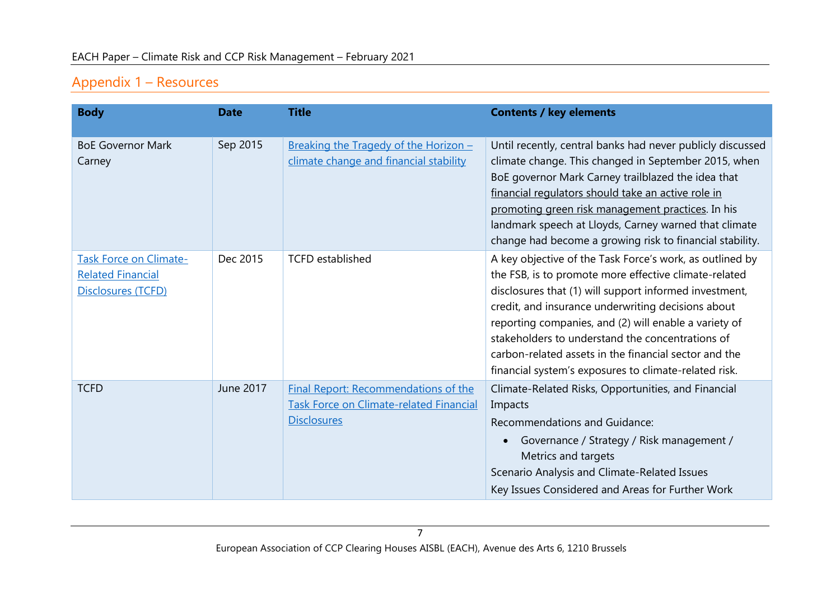# Appendix 1 – Resources

<span id="page-6-0"></span>

| <b>Body</b>                                                                     | <b>Date</b> | <b>Title</b>                                                                                                        | <b>Contents / key elements</b>                                                                                                                                                                                                                                                                                                                                                                                                                                   |
|---------------------------------------------------------------------------------|-------------|---------------------------------------------------------------------------------------------------------------------|------------------------------------------------------------------------------------------------------------------------------------------------------------------------------------------------------------------------------------------------------------------------------------------------------------------------------------------------------------------------------------------------------------------------------------------------------------------|
| <b>BoE Governor Mark</b><br>Carney                                              | Sep 2015    | Breaking the Tragedy of the Horizon -<br>climate change and financial stability                                     | Until recently, central banks had never publicly discussed<br>climate change. This changed in September 2015, when<br>BoE governor Mark Carney trailblazed the idea that<br>financial regulators should take an active role in<br>promoting green risk management practices. In his<br>landmark speech at Lloyds, Carney warned that climate<br>change had become a growing risk to financial stability.                                                         |
| <b>Task Force on Climate-</b><br><b>Related Financial</b><br>Disclosures (TCFD) | Dec 2015    | <b>TCFD</b> established                                                                                             | A key objective of the Task Force's work, as outlined by<br>the FSB, is to promote more effective climate-related<br>disclosures that (1) will support informed investment,<br>credit, and insurance underwriting decisions about<br>reporting companies, and (2) will enable a variety of<br>stakeholders to understand the concentrations of<br>carbon-related assets in the financial sector and the<br>financial system's exposures to climate-related risk. |
| <b>TCFD</b>                                                                     | June 2017   | <b>Final Report: Recommendations of the</b><br><b>Task Force on Climate-related Financial</b><br><b>Disclosures</b> | Climate-Related Risks, Opportunities, and Financial<br>Impacts<br><b>Recommendations and Guidance:</b><br>Governance / Strategy / Risk management /<br>$\bullet$<br>Metrics and targets<br>Scenario Analysis and Climate-Related Issues<br>Key Issues Considered and Areas for Further Work                                                                                                                                                                      |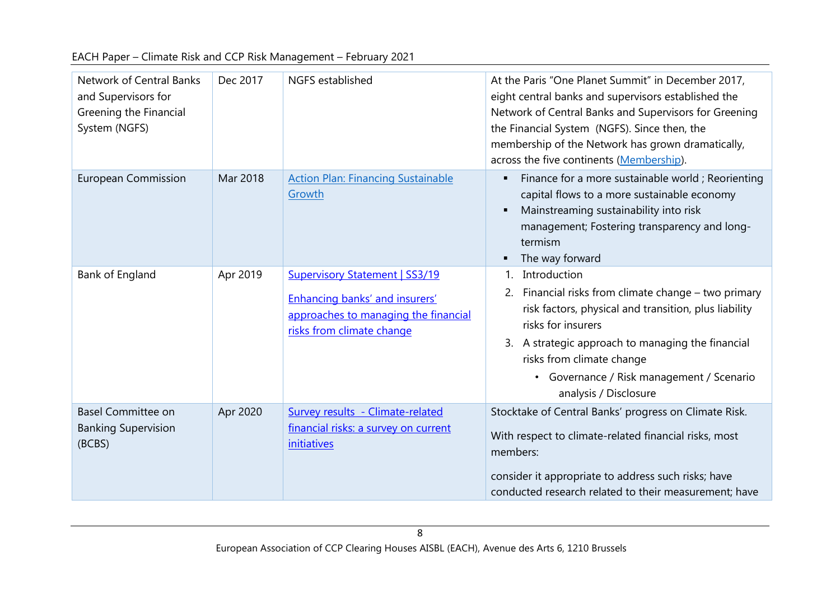|  |  | EACH Paper - Climate Risk and CCP Risk Management - February 2021 |  |
|--|--|-------------------------------------------------------------------|--|
|  |  |                                                                   |  |

| <b>Network of Central Banks</b><br>and Supervisors for<br>Greening the Financial<br>System (NGFS) | Dec 2017 | NGFS established                                                                                                                                    | At the Paris "One Planet Summit" in December 2017,<br>eight central banks and supervisors established the<br>Network of Central Banks and Supervisors for Greening<br>the Financial System (NGFS). Since then, the<br>membership of the Network has grown dramatically,<br>across the five continents (Membership).    |
|---------------------------------------------------------------------------------------------------|----------|-----------------------------------------------------------------------------------------------------------------------------------------------------|------------------------------------------------------------------------------------------------------------------------------------------------------------------------------------------------------------------------------------------------------------------------------------------------------------------------|
| <b>European Commission</b>                                                                        | Mar 2018 | <b>Action Plan: Financing Sustainable</b><br>Growth                                                                                                 | Finance for a more sustainable world; Reorienting<br>п<br>capital flows to a more sustainable economy<br>Mainstreaming sustainability into risk<br>$\blacksquare$<br>management; Fostering transparency and long-<br>termism<br>The way forward<br>п                                                                   |
| Bank of England                                                                                   | Apr 2019 | <b>Supervisory Statement   SS3/19</b><br><b>Enhancing banks' and insurers'</b><br>approaches to managing the financial<br>risks from climate change | Introduction<br>$1_{-}$<br>2. Financial risks from climate change – two primary<br>risk factors, physical and transition, plus liability<br>risks for insurers<br>3. A strategic approach to managing the financial<br>risks from climate change<br>• Governance / Risk management / Scenario<br>analysis / Disclosure |
| <b>Basel Committee on</b><br><b>Banking Supervision</b><br>(BCBS)                                 | Apr 2020 | Survey results - Climate-related<br>financial risks: a survey on current<br><i>initiatives</i>                                                      | Stocktake of Central Banks' progress on Climate Risk.<br>With respect to climate-related financial risks, most<br>members:<br>consider it appropriate to address such risks; have<br>conducted research related to their measurement; have                                                                             |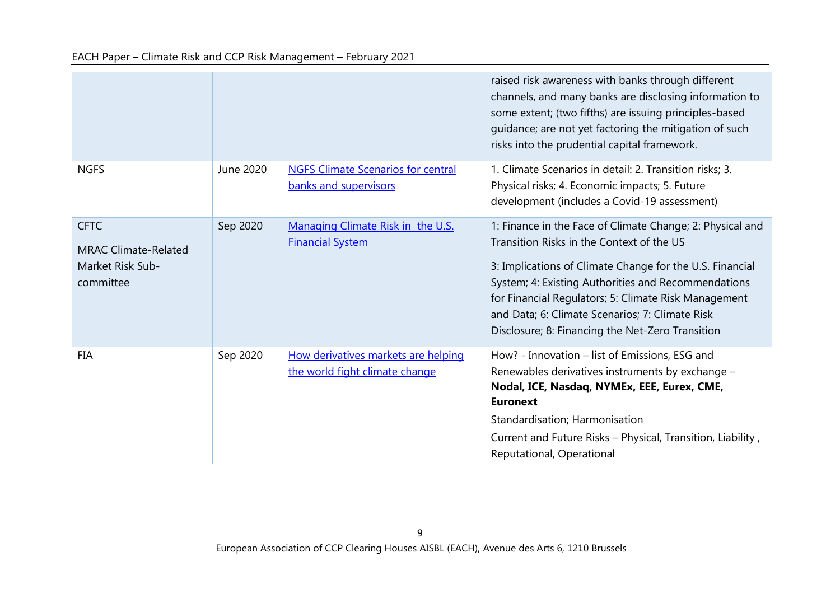|                                                                             |           |                                                                       | raised risk awareness with banks through different<br>channels, and many banks are disclosing information to<br>some extent; (two fifths) are issuing principles-based<br>guidance; are not yet factoring the mitigation of such<br>risks into the prudential capital framework.                                                                                                         |
|-----------------------------------------------------------------------------|-----------|-----------------------------------------------------------------------|------------------------------------------------------------------------------------------------------------------------------------------------------------------------------------------------------------------------------------------------------------------------------------------------------------------------------------------------------------------------------------------|
| <b>NGFS</b>                                                                 | June 2020 | <b>NGFS Climate Scenarios for central</b><br>banks and supervisors    | 1. Climate Scenarios in detail: 2. Transition risks; 3.<br>Physical risks; 4. Economic impacts; 5. Future<br>development (includes a Covid-19 assessment)                                                                                                                                                                                                                                |
| <b>CFTC</b><br><b>MRAC Climate-Related</b><br>Market Risk Sub-<br>committee | Sep 2020  | Managing Climate Risk in the U.S.<br><b>Financial System</b>          | 1: Finance in the Face of Climate Change; 2: Physical and<br>Transition Risks in the Context of the US<br>3: Implications of Climate Change for the U.S. Financial<br>System; 4: Existing Authorities and Recommendations<br>for Financial Regulators; 5: Climate Risk Management<br>and Data; 6: Climate Scenarios; 7: Climate Risk<br>Disclosure; 8: Financing the Net-Zero Transition |
| <b>FIA</b>                                                                  | Sep 2020  | How derivatives markets are helping<br>the world fight climate change | How? - Innovation - list of Emissions, ESG and<br>Renewables derivatives instruments by exchange -<br>Nodal, ICE, Nasdaq, NYMEx, EEE, Eurex, CME,<br><b>Euronext</b><br>Standardisation; Harmonisation<br>Current and Future Risks - Physical, Transition, Liability,<br>Reputational, Operational                                                                                       |